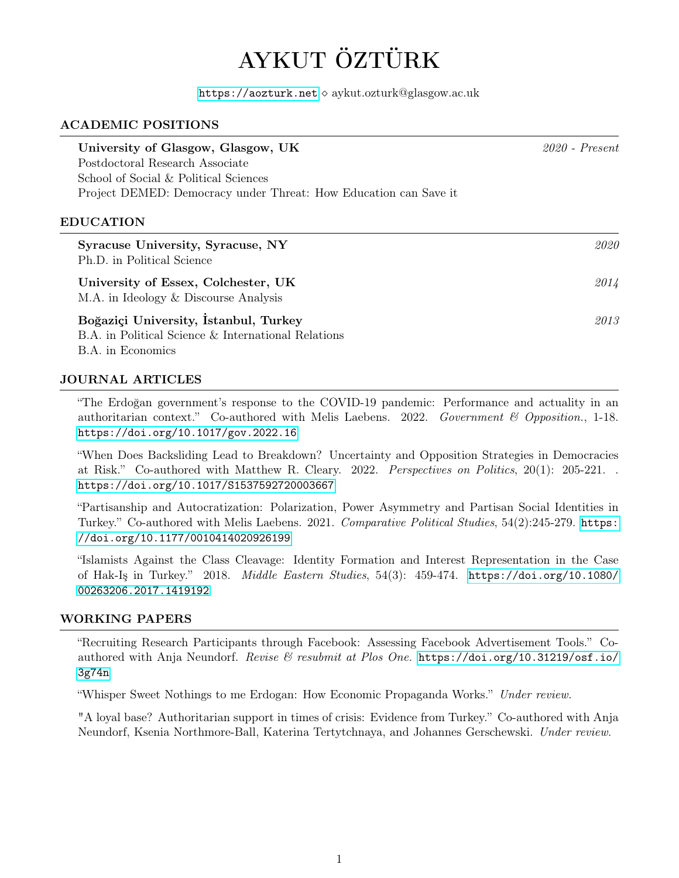# AYKUT ÖZTÜRK

<https://aozturk.net>  $\diamond$  aykut.ozturk@glasgow.ac.uk

# ACADEMIC POSITIONS

| University of Glasgow, Glasgow, UK<br>Postdoctoral Research Associate<br>School of Social & Political Sciences | $2020$ - Present |
|----------------------------------------------------------------------------------------------------------------|------------------|
| Project DEMED: Democracy under Threat: How Education can Save it<br>EDUCATION                                  |                  |
| Syracuse University, Syracuse, NY<br>Ph.D. in Political Science                                                | 2020             |

University of Essex, Colchester, UK 2014 M.A. in Ideology & Discourse Analysis

Boğaziçi University, İstanbul, Turkey 2013 B.A. in Political Science & International Relations B.A. in Economics

## JOURNAL ARTICLES

"The Erdoğan government's response to the COVID-19 pandemic: Performance and actuality in an authoritarian context." Co-authored with Melis Laebens. 2022. Government & Opposition., 1-18. <https://doi.org/10.1017/gov.2022.16>

"When Does Backsliding Lead to Breakdown? Uncertainty and Opposition Strategies in Democracies at Risk." Co-authored with Matthew R. Cleary. 2022. Perspectives on Politics, 20(1): 205-221. . <https://doi.org/10.1017/S1537592720003667>

"Partisanship and Autocratization: Polarization, Power Asymmetry and Partisan Social Identities in Turkey." Co-authored with Melis Laebens. 2021. Comparative Political Studies, 54(2):245-279. [https:](https://doi.org/10.1177/0010414020926199) [//doi.org/10.1177/0010414020926199](https://doi.org/10.1177/0010414020926199)

"Islamists Against the Class Cleavage: Identity Formation and Interest Representation in the Case of Hak-Iş in Turkey." 2018. Middle Eastern Studies, 54(3): 459-474. [https://doi.org/10.1080/](https://doi.org/10.1080/00263206.2017.1419192) [00263206.2017.1419192](https://doi.org/10.1080/00263206.2017.1419192)

## WORKING PAPERS

"Recruiting Research Participants through Facebook: Assessing Facebook Advertisement Tools." Coauthored with Anja Neundorf. Revise & resubmit at Plos One. [https://doi.org/10.31219/osf.io/](https://doi.org/10.31219/osf.io/3g74n) [3g74n](https://doi.org/10.31219/osf.io/3g74n)

"Whisper Sweet Nothings to me Erdogan: How Economic Propaganda Works." Under review.

"A loyal base? Authoritarian support in times of crisis: Evidence from Turkey." Co-authored with Anja Neundorf, Ksenia Northmore-Ball, Katerina Tertytchnaya, and Johannes Gerschewski. Under review.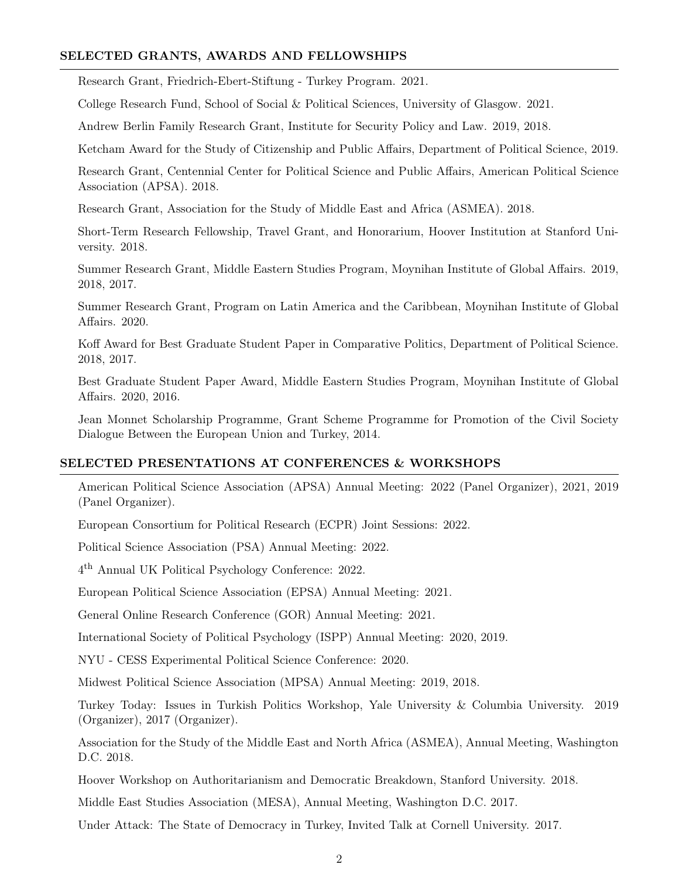## SELECTED GRANTS, AWARDS AND FELLOWSHIPS

Research Grant, Friedrich-Ebert-Stiftung - Turkey Program. 2021.

College Research Fund, School of Social & Political Sciences, University of Glasgow. 2021.

Andrew Berlin Family Research Grant, Institute for Security Policy and Law. 2019, 2018.

Ketcham Award for the Study of Citizenship and Public Affairs, Department of Political Science, 2019.

Research Grant, Centennial Center for Political Science and Public Affairs, American Political Science Association (APSA). 2018.

Research Grant, Association for the Study of Middle East and Africa (ASMEA). 2018.

Short-Term Research Fellowship, Travel Grant, and Honorarium, Hoover Institution at Stanford University. 2018.

Summer Research Grant, Middle Eastern Studies Program, Moynihan Institute of Global Affairs. 2019, 2018, 2017.

Summer Research Grant, Program on Latin America and the Caribbean, Moynihan Institute of Global Affairs. 2020.

Koff Award for Best Graduate Student Paper in Comparative Politics, Department of Political Science. 2018, 2017.

Best Graduate Student Paper Award, Middle Eastern Studies Program, Moynihan Institute of Global Affairs. 2020, 2016.

Jean Monnet Scholarship Programme, Grant Scheme Programme for Promotion of the Civil Society Dialogue Between the European Union and Turkey, 2014.

#### SELECTED PRESENTATIONS AT CONFERENCES & WORKSHOPS

American Political Science Association (APSA) Annual Meeting: 2022 (Panel Organizer), 2021, 2019 (Panel Organizer).

European Consortium for Political Research (ECPR) Joint Sessions: 2022.

Political Science Association (PSA) Annual Meeting: 2022.

4 th Annual UK Political Psychology Conference: 2022.

European Political Science Association (EPSA) Annual Meeting: 2021.

General Online Research Conference (GOR) Annual Meeting: 2021.

International Society of Political Psychology (ISPP) Annual Meeting: 2020, 2019.

NYU - CESS Experimental Political Science Conference: 2020.

Midwest Political Science Association (MPSA) Annual Meeting: 2019, 2018.

Turkey Today: Issues in Turkish Politics Workshop, Yale University & Columbia University. 2019 (Organizer), 2017 (Organizer).

Association for the Study of the Middle East and North Africa (ASMEA), Annual Meeting, Washington D.C. 2018.

Hoover Workshop on Authoritarianism and Democratic Breakdown, Stanford University. 2018.

Middle East Studies Association (MESA), Annual Meeting, Washington D.C. 2017.

Under Attack: The State of Democracy in Turkey, Invited Talk at Cornell University. 2017.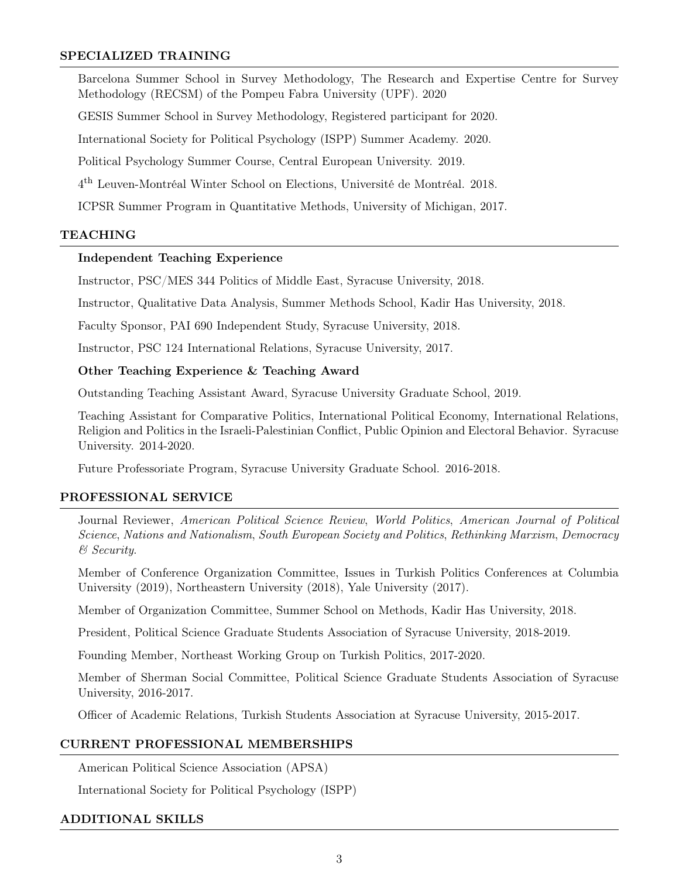## SPECIALIZED TRAINING

Barcelona Summer School in Survey Methodology, The Research and Expertise Centre for Survey Methodology (RECSM) of the Pompeu Fabra University (UPF). 2020

GESIS Summer School in Survey Methodology, Registered participant for 2020.

International Society for Political Psychology (ISPP) Summer Academy. 2020.

Political Psychology Summer Course, Central European University. 2019.

4 th Leuven-Montréal Winter School on Elections, Université de Montréal. 2018.

ICPSR Summer Program in Quantitative Methods, University of Michigan, 2017.

#### TEACHING

## Independent Teaching Experience

Instructor, PSC/MES 344 Politics of Middle East, Syracuse University, 2018.

Instructor, Qualitative Data Analysis, Summer Methods School, Kadir Has University, 2018.

Faculty Sponsor, PAI 690 Independent Study, Syracuse University, 2018.

Instructor, PSC 124 International Relations, Syracuse University, 2017.

#### Other Teaching Experience & Teaching Award

Outstanding Teaching Assistant Award, Syracuse University Graduate School, 2019.

Teaching Assistant for Comparative Politics, International Political Economy, International Relations, Religion and Politics in the Israeli-Palestinian Conflict, Public Opinion and Electoral Behavior. Syracuse University. 2014-2020.

Future Professoriate Program, Syracuse University Graduate School. 2016-2018.

#### PROFESSIONAL SERVICE

Journal Reviewer, American Political Science Review, World Politics, American Journal of Political Science, Nations and Nationalism, South European Society and Politics, Rethinking Marxism, Democracy & Security.

Member of Conference Organization Committee, Issues in Turkish Politics Conferences at Columbia University (2019), Northeastern University (2018), Yale University (2017).

Member of Organization Committee, Summer School on Methods, Kadir Has University, 2018.

President, Political Science Graduate Students Association of Syracuse University, 2018-2019.

Founding Member, Northeast Working Group on Turkish Politics, 2017-2020.

Member of Sherman Social Committee, Political Science Graduate Students Association of Syracuse University, 2016-2017.

Officer of Academic Relations, Turkish Students Association at Syracuse University, 2015-2017.

## CURRENT PROFESSIONAL MEMBERSHIPS

American Political Science Association (APSA)

International Society for Political Psychology (ISPP)

#### ADDITIONAL SKILLS